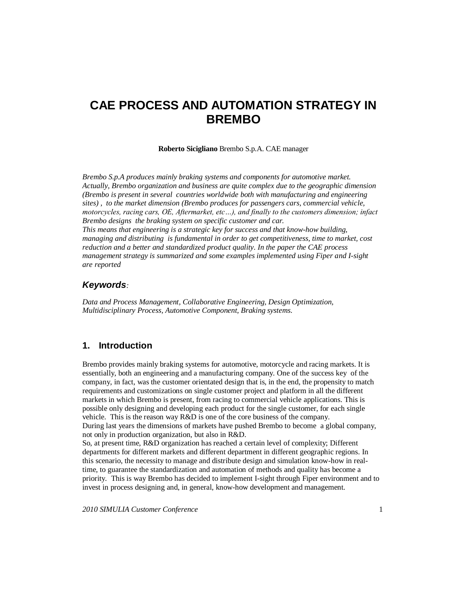# **CAE PROCESS AND AUTOMATION STRATEGY IN BREMBO**

**Roberto Sicigliano** Brembo S.p.A. CAE manager

*Brembo S.p.A produces mainly braking systems and components for automotive market. Actually, Brembo organization and business are quite complex due to the geographic dimension (Brembo is present in several countries worldwide both with manufacturing and engineering sites) , to the market dimension (Brembo produces for passengers cars, commercial vehicle, motorcycles, racing cars, OE, Aftermarket, etc…), and finally to the customers dimension; infact Brembo designs the braking system on specific customer and car. This means that engineering is a strategic key for success and that know-how building, managing and distributing is fundamental in order to get competitiveness, time to market, cost reduction and a better and standardized product quality. In the paper the CAE process management strategy is summarized and some examples implemented using Fiper and I-sight are reported*

#### *Keywords:*

*Data and Process Management, Collaborative Engineering, Design Optimization, Multidisciplinary Process, Automotive Component, Braking systems.*

# **1. Introduction**

Brembo provides mainly braking systems for automotive, motorcycle and racing markets. It is essentially, both an engineering and a manufacturing company. One of the success key of the company, in fact, was the customer orientated design that is, in the end, the propensity to match requirements and customizations on single customer project and platform in all the different markets in which Brembo is present, from racing to commercial vehicle applications. This is possible only designing and developing each product for the single customer, for each single vehicle. This is the reason way R&D is one of the core business of the company. During last years the dimensions of markets have pushed Brembo to become a global company, not only in production organization, but also in R&D.

So, at present time, R&D organization has reached a certain level of complexity; Different departments for different markets and different department in different geographic regions. In this scenario, the necessity to manage and distribute design and simulation know-how in realtime, to guarantee the standardization and automation of methods and quality has become a priority. This is way Brembo has decided to implement I-sight through Fiper environment and to invest in process designing and, in general, know-how development and management.

*2010 SIMULIA Customer Conference* 1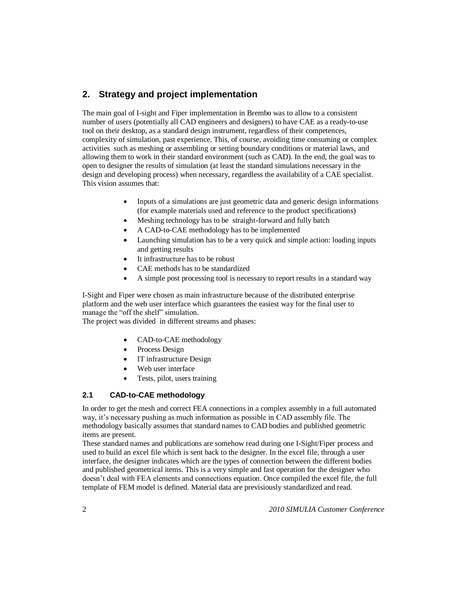# **2. Strategy and project implementation**

The main goal of I-sight and Fiper implementation in Brembo was to allow to a consistent number of users (potentially all CAD engineers and designers) to have CAE as a ready-to-use tool on their desktop, as a standard design instrument, regardless of their competences, complexity of simulation, past experience. This, of course, avoiding time consuming or complex activities such as meshing or assembling or setting boundary conditions or material laws, and allowing them to work in their standard environment (such as CAD). In the end, the goal was to open to designer the results of simulation (at least the standard simulations necessary in the design and developing process) when necessary, regardless the availability of a CAE specialist. This vision assumes that:

- Inputs of a simulations are just geometric data and generic design informations (for example materials used and reference to the product specifications)
- Meshing technology has to be straight-forward and fully batch
- A CAD-to-CAE methodology has to be implemented
- Launching simulation has to be a very quick and simple action: loading inputs and getting results
- It infrastructure has to be robust
- CAE methods has to be standardized
- A simple post processing tool is necessary to report results in a standard way

I-Sight and Fiper were chosen as main infrastructure because of the distributed enterprise platform and the web user interface which guarantees the easiest way for the final user to manage the "off the shelf" simulation.

The project was divided in different streams and phases:

- CAD-to-CAE methodology
- Process Design
- IT infrastructure Design
- Web user interface
- Tests, pilot, users training

#### **2.1 CAD-to-CAE methodology**

In order to get the mesh and correct FEA connections in a complex assembly in a full automated way, it's necessary pushing as much information as possible in CAD assembly file. The methodology basically assumes that standard names to CAD bodies and published geometric items are present.

These standard names and publications are somehow read during one I-Sight/Fiper process and used to build an excel file which is sent back to the designer. In the excel file, through a user interface, the designer indicates which are the types of connection between the different bodies and published geometrical items. This is a very simple and fast operation for the designer who doesn't deal with FEA elements and connections equation. Once compiled the excel file, the full template of FEM model is defined. Material data are previsiously standardized and read.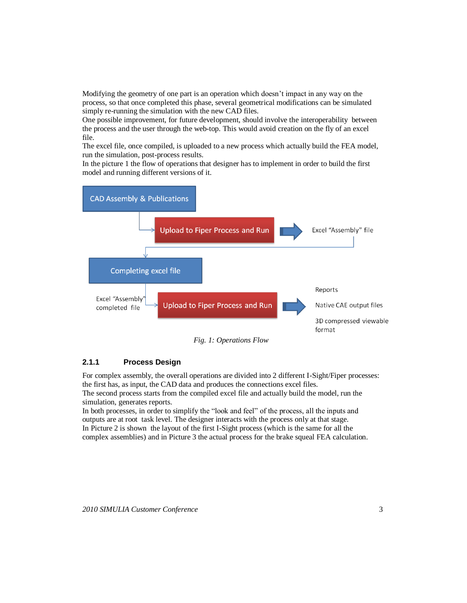Modifying the geometry of one part is an operation which doesn't impact in any way on the process, so that once completed this phase, several geometrical modifications can be simulated simply re-running the simulation with the new CAD files.

One possible improvement, for future development, should involve the interoperability between the process and the user through the web-top. This would avoid creation on the fly of an excel file.

The excel file, once compiled, is uploaded to a new process which actually build the FEA model, run the simulation, post-process results.

In the picture 1 the flow of operations that designer has to implement in order to build the first model and running different versions of it.



### **2.1.1 Process Design**

For complex assembly, the overall operations are divided into 2 different I-Sight/Fiper processes: the first has, as input, the CAD data and produces the connections excel files. The second process starts from the compiled excel file and actually build the model, run the simulation, generates reports.

In both processes, in order to simplify the "look and feel" of the process, all the inputs and outputs are at root task level. The designer interacts with the process only at that stage. In Picture 2 is shown the layout of the first I-Sight process (which is the same for all the complex assemblies) and in Picture 3 the actual process for the brake squeal FEA calculation.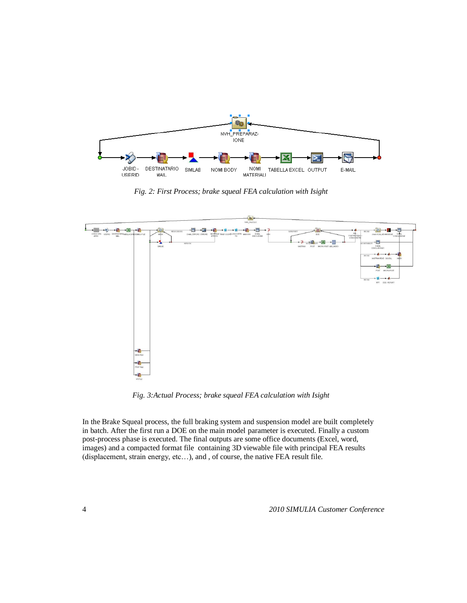

*Fig. 2: First Process; brake squeal FEA calculation with Isight*



*Fig. 3:Actual Process; brake squeal FEA calculation with Isight*

In the Brake Squeal process, the full braking system and suspension model are built completely in batch. After the first run a DOE on the main model parameter is executed. Finally a custom post-process phase is executed. The final outputs are some office documents (Excel, word, images) and a compacted format file containing 3D viewable file with principal FEA results (displacement, strain energy, etc…), and , of course, the native FEA result file.

4 *2010 SIMULIA Customer Conference*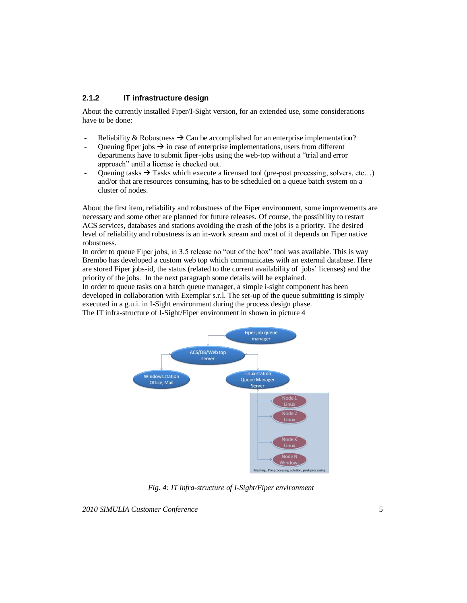#### **2.1.2 IT infrastructure design**

About the currently installed Fiper/I-Sight version, for an extended use, some considerations have to be done:

- Reliability & Robustness  $\rightarrow$  Can be accomplished for an enterprise implementation?
- Queuing fiper jobs  $\rightarrow$  in case of enterprise implementations, users from different departments have to submit fiper-jobs using the web-top without a "trial and error approach" until a license is checked out.
- Queuing tasks  $\rightarrow$  Tasks which execute a licensed tool (pre-post processing, solvers, etc...) and/or that are resources consuming, has to be scheduled on a queue batch system on a cluster of nodes.

About the first item, reliability and robustness of the Fiper environment, some improvements are necessary and some other are planned for future releases. Of course, the possibility to restart ACS services, databases and stations avoiding the crash of the jobs is a priority. The desired level of reliability and robustness is an in-work stream and most of it depends on Fiper native robustness.

In order to queue Fiper jobs, in 3.5 release no "out of the box" tool was available. This is way Brembo has developed a custom web top which communicates with an external database. Here are stored Fiper jobs-id, the status (related to the current availability of jobs' licenses) and the priority of the jobs. In the next paragraph some details will be explained.

In order to queue tasks on a batch queue manager, a simple i-sight component has been developed in collaboration with Exemplar s.r.l. The set-up of the queue submitting is simply executed in a g.u.i. in I-Sight environment during the process design phase. The IT infra-structure of I-Sight/Fiper environment in shown in picture 4



*Fig. 4: IT infra-structure of I-Sight/Fiper environment*

*2010 SIMULIA Customer Conference* 5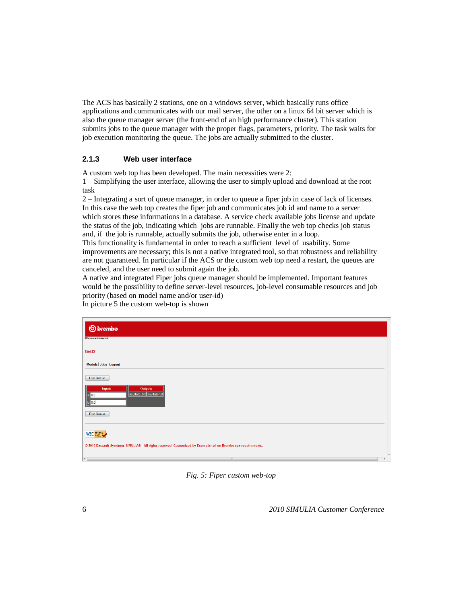The ACS has basically 2 stations, one on a windows server, which basically runs office applications and communicates with our mail server, the other on a linux 64 bit server which is also the queue manager server (the front-end of an high performance cluster). This station submits jobs to the queue manager with the proper flags, parameters, priority. The task waits for job execution monitoring the queue. The jobs are actually submitted to the cluster.

#### **2.1.3 Web user interface**

A custom web top has been developed. The main necessities were 2:

1 – Simplifying the user interface, allowing the user to simply upload and download at the root task

2 – Integrating a sort of queue manager, in order to queue a fiper job in case of lack of licenses. In this case the web top creates the fiper job and communicates job id and name to a server which stores these informations in a database. A service check available jobs license and update the status of the job, indicating which jobs are runnable. Finally the web top checks job status and, if the job is runnable, actually submits the job, otherwise enter in a loop.

This functionality is fundamental in order to reach a sufficient level of usability. Some improvements are necessary; this is not a native integrated tool, so that robustness and reliability are not guaranteed. In particular if the ACS or the custom web top need a restart, the queues are canceled, and the user need to submit again the job.

A native and integrated Fiper jobs queue manager should be implemented. Important features would be the possibility to define server-level resources, job-level consumable resources and job priority (based on model name and/or user-id)

| <b>S</b> brembo.                                                                                                | $\mathbb{A}$             |
|-----------------------------------------------------------------------------------------------------------------|--------------------------|
| <b>Welcome: RobertoS</b>                                                                                        |                          |
| test2                                                                                                           |                          |
| Models Jobs Logout                                                                                              |                          |
| Run Queue<br>Outputs<br>Inputs                                                                                  |                          |
| risultato_txt risultato.txt<br>10.0<br>10 O                                                                     |                          |
| Run Queue                                                                                                       |                          |
| <b>W3C HTML</b>                                                                                                 |                          |
| @ 2010 Dassault Systèmes SIMULIA® - All rights reserved. Customized by Exemplar srl on Brembo spa requirements. | $\overline{\phantom{a}}$ |
| $\vert \cdot \vert$<br>$\mathbf{m}$                                                                             | ٠                        |

In picture 5 the custom web-top is shown

*Fig. 5: Fiper custom web-top*

6 *2010 SIMULIA Customer Conference*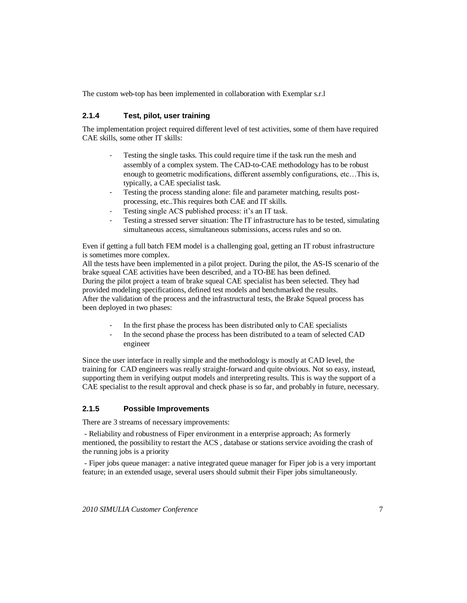The custom web-top has been implemented in collaboration with Exemplar s.r.l

# **2.1.4 Test, pilot, user training**

The implementation project required different level of test activities, some of them have required CAE skills, some other IT skills:

- Testing the single tasks. This could require time if the task run the mesh and assembly of a complex system. The CAD-to-CAE methodology has to be robust enough to geometric modifications, different assembly configurations, etc…This is, typically, a CAE specialist task.
- Testing the process standing alone: file and parameter matching, results postprocessing, etc..This requires both CAE and IT skills.
- Testing single ACS published process: it's an IT task.
- Testing a stressed server situation: The IT infrastructure has to be tested, simulating simultaneous access, simultaneous submissions, access rules and so on.

Even if getting a full batch FEM model is a challenging goal, getting an IT robust infrastructure is sometimes more complex.

All the tests have been implemented in a pilot project. During the pilot, the AS-IS scenario of the brake squeal CAE activities have been described, and a TO-BE has been defined. During the pilot project a team of brake squeal CAE specialist has been selected. They had provided modeling specifications, defined test models and benchmarked the results. After the validation of the process and the infrastructural tests, the Brake Squeal process has been deployed in two phases:

- In the first phase the process has been distributed only to CAE specialists
- In the second phase the process has been distributed to a team of selected CAD engineer

Since the user interface in really simple and the methodology is mostly at CAD level, the training for CAD engineers was really straight-forward and quite obvious. Not so easy, instead, supporting them in verifying output models and interpreting results. This is way the support of a CAE specialist to the result approval and check phase is so far, and probably in future, necessary.

# **2.1.5 Possible Improvements**

There are 3 streams of necessary improvements:

- Reliability and robustness of Fiper environment in a enterprise approach; As formerly mentioned, the possibility to restart the ACS , database or stations service avoiding the crash of the running jobs is a priority

- Fiper jobs queue manager: a native integrated queue manager for Fiper job is a very important feature; in an extended usage, several users should submit their Fiper jobs simultaneously.